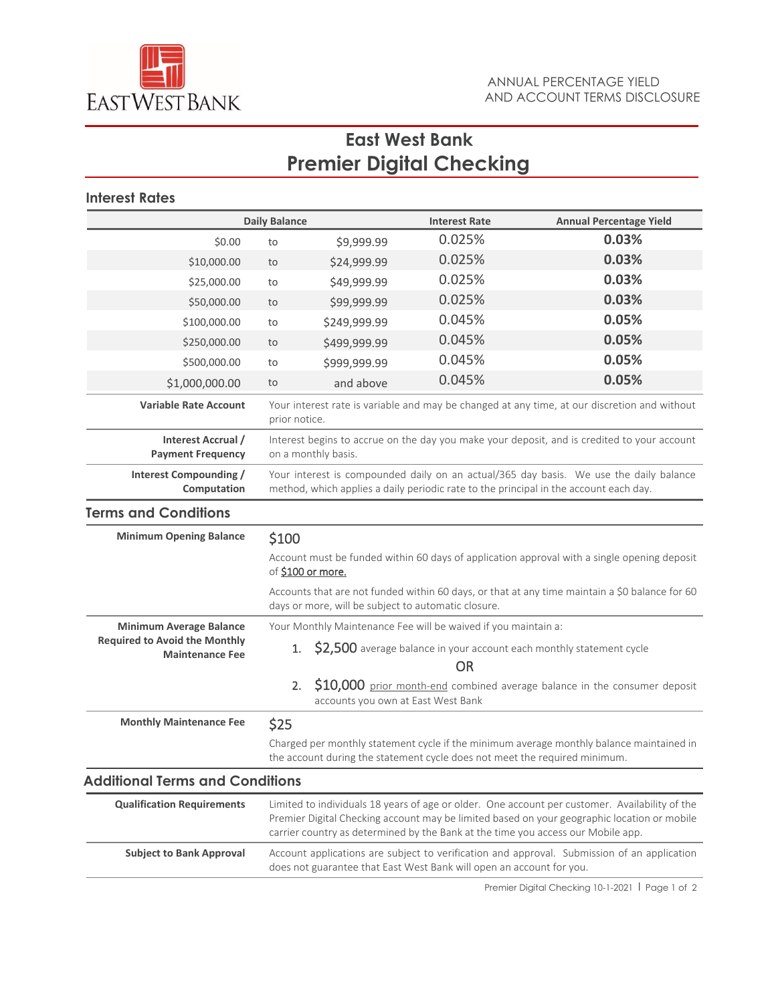

# **East West Bank Premier Digital Checking**

## **Interest Rates**

| <b>Daily Balance</b>                                                                             |                                                                                                                                                                                                                                                                                   |                                                                      | <b>Interest Rate</b> | <b>Annual Percentage Yield</b>                                                              |  |
|--------------------------------------------------------------------------------------------------|-----------------------------------------------------------------------------------------------------------------------------------------------------------------------------------------------------------------------------------------------------------------------------------|----------------------------------------------------------------------|----------------------|---------------------------------------------------------------------------------------------|--|
| \$0.00                                                                                           | to                                                                                                                                                                                                                                                                                | \$9,999.99                                                           | 0.025%               | 0.03%                                                                                       |  |
| \$10,000.00                                                                                      | to                                                                                                                                                                                                                                                                                | \$24,999.99                                                          | 0.025%               | 0.03%                                                                                       |  |
| \$25,000.00                                                                                      | to                                                                                                                                                                                                                                                                                | \$49,999.99                                                          | 0.025%               | 0.03%                                                                                       |  |
| \$50,000.00                                                                                      | to                                                                                                                                                                                                                                                                                | \$99,999.99                                                          | 0.025%               | 0.03%                                                                                       |  |
| \$100,000.00                                                                                     | to                                                                                                                                                                                                                                                                                | \$249,999.99                                                         | 0.045%               | 0.05%                                                                                       |  |
| \$250,000.00                                                                                     | to                                                                                                                                                                                                                                                                                | \$499,999.99                                                         | 0.045%               | 0.05%                                                                                       |  |
| \$500,000.00                                                                                     | to                                                                                                                                                                                                                                                                                | \$999,999.99                                                         | 0.045%               | 0.05%                                                                                       |  |
| \$1,000,000.00                                                                                   | to                                                                                                                                                                                                                                                                                | and above                                                            | 0.045%               | 0.05%                                                                                       |  |
| <b>Variable Rate Account</b>                                                                     | Your interest rate is variable and may be changed at any time, at our discretion and without<br>prior notice.                                                                                                                                                                     |                                                                      |                      |                                                                                             |  |
| Interest Accrual /<br><b>Payment Frequency</b>                                                   | Interest begins to accrue on the day you make your deposit, and is credited to your account<br>on a monthly basis.                                                                                                                                                                |                                                                      |                      |                                                                                             |  |
| Interest Compounding /<br>Computation                                                            | Your interest is compounded daily on an actual/365 day basis. We use the daily balance<br>method, which applies a daily periodic rate to the principal in the account each day.                                                                                                   |                                                                      |                      |                                                                                             |  |
| <b>Terms and Conditions</b>                                                                      |                                                                                                                                                                                                                                                                                   |                                                                      |                      |                                                                                             |  |
| <b>Minimum Opening Balance</b>                                                                   | \$100                                                                                                                                                                                                                                                                             |                                                                      |                      |                                                                                             |  |
|                                                                                                  | Account must be funded within 60 days of application approval with a single opening deposit<br>of \$100 or more.                                                                                                                                                                  |                                                                      |                      |                                                                                             |  |
|                                                                                                  | Accounts that are not funded within 60 days, or that at any time maintain a \$0 balance for 60<br>days or more, will be subject to automatic closure.                                                                                                                             |                                                                      |                      |                                                                                             |  |
| <b>Minimum Average Balance</b><br><b>Required to Avoid the Monthly</b><br><b>Maintenance Fee</b> | Your Monthly Maintenance Fee will be waived if you maintain a:                                                                                                                                                                                                                    |                                                                      |                      |                                                                                             |  |
|                                                                                                  | \$2,500 average balance in your account each monthly statement cycle<br>1.<br><b>OR</b>                                                                                                                                                                                           |                                                                      |                      |                                                                                             |  |
|                                                                                                  |                                                                                                                                                                                                                                                                                   | 2.<br>accounts you own at East West Bank                             |                      | \$10,000 prior month-end combined average balance in the consumer deposit                   |  |
| <b>Monthly Maintenance Fee</b>                                                                   | \$25                                                                                                                                                                                                                                                                              |                                                                      |                      |                                                                                             |  |
|                                                                                                  | Charged per monthly statement cycle if the minimum average monthly balance maintained in<br>the account during the statement cycle does not meet the required minimum.                                                                                                            |                                                                      |                      |                                                                                             |  |
| <b>Additional Terms and Conditions</b>                                                           |                                                                                                                                                                                                                                                                                   |                                                                      |                      |                                                                                             |  |
| <b>Qualification Requirements</b>                                                                | Limited to individuals 18 years of age or older. One account per customer. Availability of the<br>Premier Digital Checking account may be limited based on your geographic location or mobile<br>carrier country as determined by the Bank at the time you access our Mobile app. |                                                                      |                      |                                                                                             |  |
| <b>Subject to Bank Approval</b>                                                                  |                                                                                                                                                                                                                                                                                   | does not guarantee that East West Bank will open an account for you. |                      | Account applications are subject to verification and approval. Submission of an application |  |
|                                                                                                  |                                                                                                                                                                                                                                                                                   |                                                                      |                      |                                                                                             |  |

Premier Digital Checking 10-1-2021 | Page 1 of 2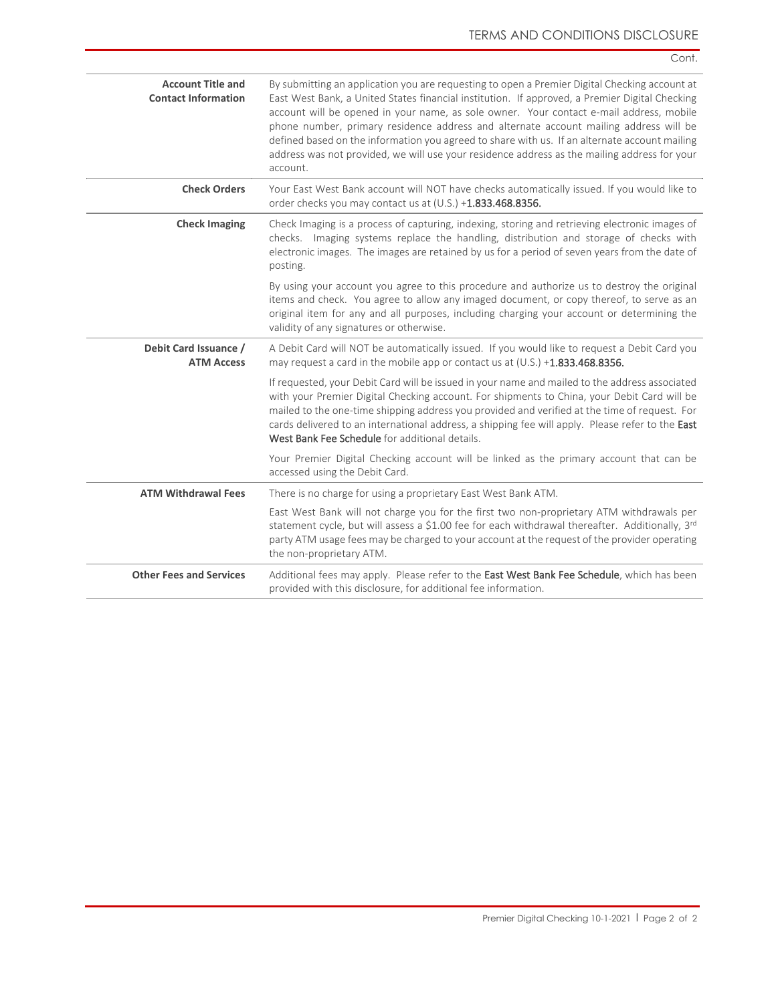| <b>Account Title and</b><br><b>Contact Information</b> | By submitting an application you are requesting to open a Premier Digital Checking account at<br>East West Bank, a United States financial institution. If approved, a Premier Digital Checking<br>account will be opened in your name, as sole owner. Your contact e-mail address, mobile<br>phone number, primary residence address and alternate account mailing address will be<br>defined based on the information you agreed to share with us. If an alternate account mailing<br>address was not provided, we will use your residence address as the mailing address for your<br>account. |
|--------------------------------------------------------|--------------------------------------------------------------------------------------------------------------------------------------------------------------------------------------------------------------------------------------------------------------------------------------------------------------------------------------------------------------------------------------------------------------------------------------------------------------------------------------------------------------------------------------------------------------------------------------------------|
| <b>Check Orders</b>                                    | Your East West Bank account will NOT have checks automatically issued. If you would like to<br>order checks you may contact us at (U.S.) +1.833.468.8356.                                                                                                                                                                                                                                                                                                                                                                                                                                        |
| <b>Check Imaging</b>                                   | Check Imaging is a process of capturing, indexing, storing and retrieving electronic images of<br>checks. Imaging systems replace the handling, distribution and storage of checks with<br>electronic images. The images are retained by us for a period of seven years from the date of<br>posting.                                                                                                                                                                                                                                                                                             |
|                                                        | By using your account you agree to this procedure and authorize us to destroy the original<br>items and check. You agree to allow any imaged document, or copy thereof, to serve as an<br>original item for any and all purposes, including charging your account or determining the<br>validity of any signatures or otherwise.                                                                                                                                                                                                                                                                 |
| Debit Card Issuance /<br><b>ATM Access</b>             | A Debit Card will NOT be automatically issued. If you would like to request a Debit Card you<br>may request a card in the mobile app or contact us at (U.S.) +1.833.468.8356.                                                                                                                                                                                                                                                                                                                                                                                                                    |
|                                                        | If requested, your Debit Card will be issued in your name and mailed to the address associated<br>with your Premier Digital Checking account. For shipments to China, your Debit Card will be<br>mailed to the one-time shipping address you provided and verified at the time of request. For<br>cards delivered to an international address, a shipping fee will apply. Please refer to the East<br>West Bank Fee Schedule for additional details.                                                                                                                                             |
|                                                        | Your Premier Digital Checking account will be linked as the primary account that can be<br>accessed using the Debit Card.                                                                                                                                                                                                                                                                                                                                                                                                                                                                        |
| <b>ATM Withdrawal Fees</b>                             | There is no charge for using a proprietary East West Bank ATM.                                                                                                                                                                                                                                                                                                                                                                                                                                                                                                                                   |
|                                                        | East West Bank will not charge you for the first two non-proprietary ATM withdrawals per<br>statement cycle, but will assess a \$1.00 fee for each withdrawal thereafter. Additionally, 3rd<br>party ATM usage fees may be charged to your account at the request of the provider operating<br>the non-proprietary ATM.                                                                                                                                                                                                                                                                          |
| <b>Other Fees and Services</b>                         | Additional fees may apply. Please refer to the East West Bank Fee Schedule, which has been<br>provided with this disclosure, for additional fee information.                                                                                                                                                                                                                                                                                                                                                                                                                                     |

Cont.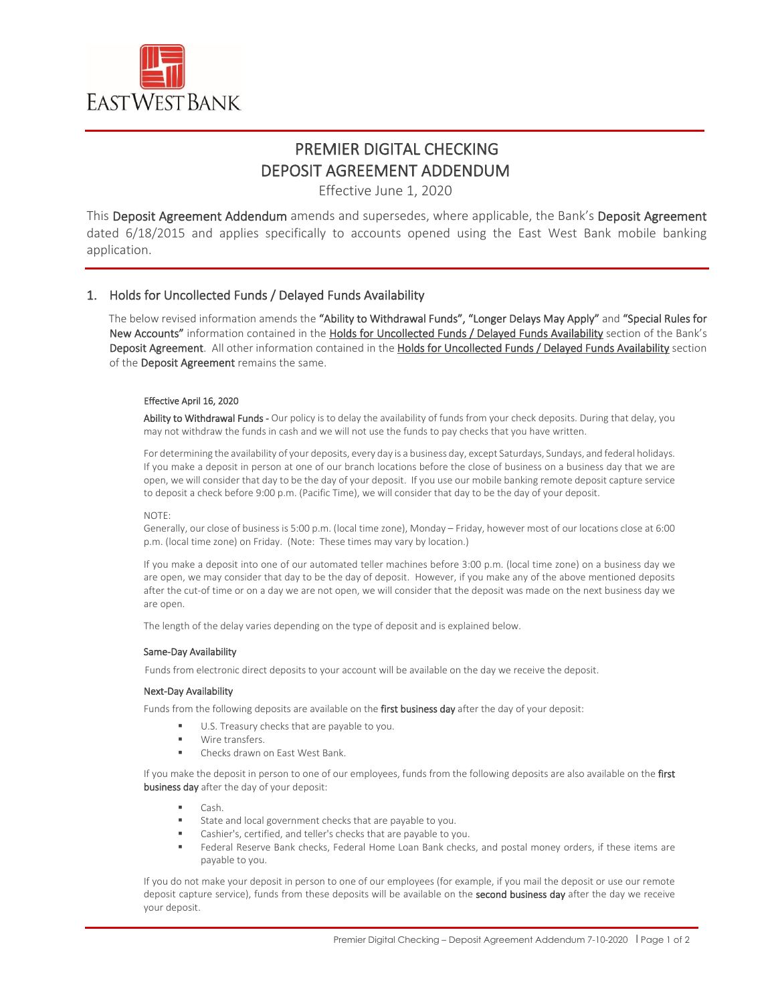

## PREMIER DIGITAL CHECKING DEPOSIT AGREEMENT ADDENDUM

Effective June 1, 2020

This Deposit Agreement Addendum amends and supersedes, where applicable, the Bank's Deposit Agreement dated 6/18/2015 and applies specifically to accounts opened using the East West Bank mobile banking application.

### 1. Holds for Uncollected Funds / Delayed Funds Availability

The below revised information amends the "Ability to Withdrawal Funds", "Longer Delays May Apply" and "Special Rules for New Accounts" information contained in the Holds for Uncollected Funds / Delayed Funds Availability section of the Bank's Deposit Agreement. All other information contained in the Holds for Uncollected Funds / Delayed Funds Availability section of the Deposit Agreement remains the same.

### Effective April 16, 2020

Ability to Withdrawal Funds - Our policy is to delay the availability of funds from your check deposits. During that delay, you may not withdraw the funds in cash and we will not use the funds to pay checks that you have written.

For determining the availability of your deposits, every day is a business day, except Saturdays, Sundays, and federal holidays. If you make a deposit in person at one of our branch locations before the close of business on a business day that we are open, we will consider that day to be the day of your deposit. If you use our mobile banking remote deposit capture service to deposit a check before 9:00 p.m. (Pacific Time), we will consider that day to be the day of your deposit.

### NOTE:

Generally, our close of business is 5:00 p.m. (local time zone), Monday – Friday, however most of our locations close at 6:00 p.m. (local time zone) on Friday. (Note: These times may vary by location.)

If you make a deposit into one of our automated teller machines before 3:00 p.m. (local time zone) on a business day we are open, we may consider that day to be the day of deposit. However, if you make any of the above mentioned deposits after the cut-of time or on a day we are not open, we will consider that the deposit was made on the next business day we are open.

The length of the delay varies depending on the type of deposit and is explained below.

### Same-Day Availability

Funds from electronic direct deposits to your account will be available on the day we receive the deposit.

### Next-Day Availability

Funds from the following deposits are available on the first business day after the day of your deposit:

- U.S. Treasury checks that are payable to you.
	- Wire transfers.
	- Checks drawn on East West Bank.

If you make the deposit in person to one of our employees, funds from the following deposits are also available on the first business day after the day of your deposit:

- Cash.
- State and local government checks that are payable to you.
- Cashier's, certified, and teller's checks that are payable to you.
- Federal Reserve Bank checks, Federal Home Loan Bank checks, and postal money orders, if these items are payable to you.

If you do not make your deposit in person to one of our employees (for example, if you mail the deposit or use our remote deposit capture service), funds from these deposits will be available on the second business day after the day we receive your deposit.